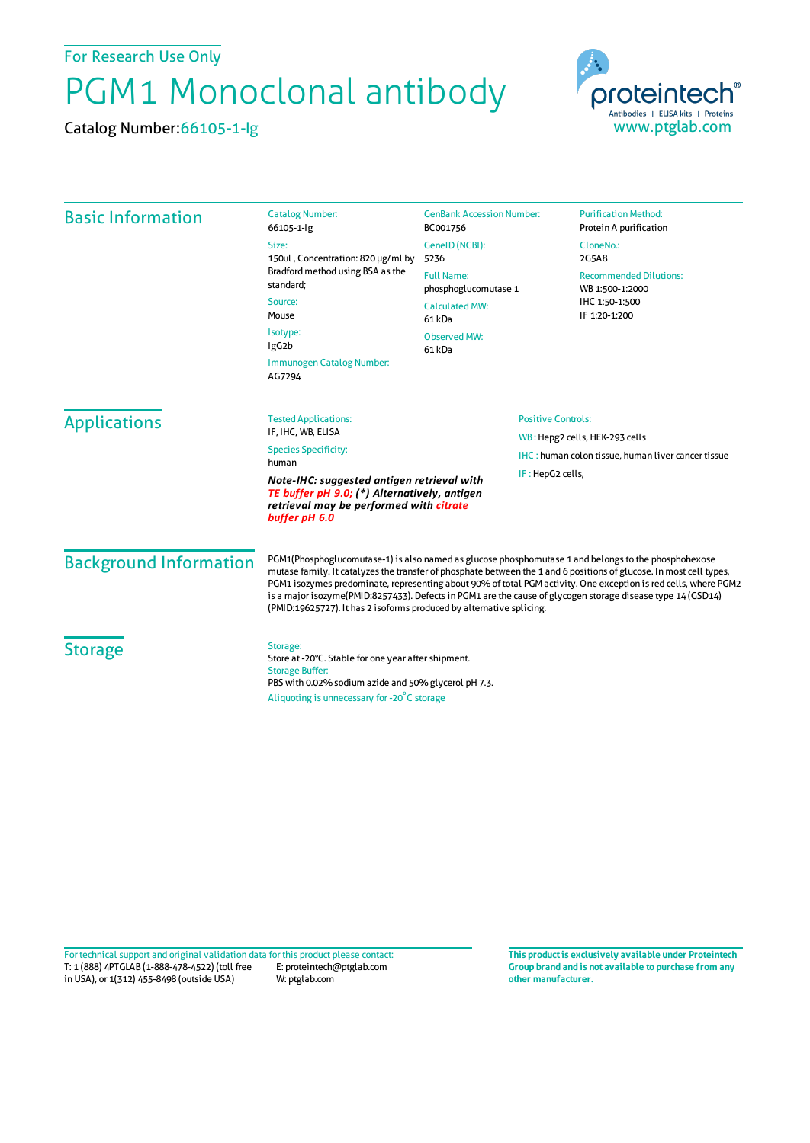For Research Use Only

## PGM1 Monoclonal antibody

Catalog Number:66105-1-Ig



| <b>Basic Information</b>      | <b>Catalog Number:</b><br>66105-1-lg                                                                                                                                                                                                                                                                                                                                                                                                                                                                                                  | <b>GenBank Accession Number:</b><br>BC001756 | <b>Purification Method:</b><br>Protein A purification     |
|-------------------------------|---------------------------------------------------------------------------------------------------------------------------------------------------------------------------------------------------------------------------------------------------------------------------------------------------------------------------------------------------------------------------------------------------------------------------------------------------------------------------------------------------------------------------------------|----------------------------------------------|-----------------------------------------------------------|
|                               | Size:<br>150ul, Concentration: 820 µg/ml by<br>Bradford method using BSA as the<br>standard;                                                                                                                                                                                                                                                                                                                                                                                                                                          | GenelD (NCBI):<br>5236                       | CloneNo.:<br>2G5A8                                        |
|                               |                                                                                                                                                                                                                                                                                                                                                                                                                                                                                                                                       | <b>Full Name:</b><br>phosphoglucomutase 1    | <b>Recommended Dilutions:</b><br>WB 1:500-1:2000          |
|                               | Source:<br>Mouse                                                                                                                                                                                                                                                                                                                                                                                                                                                                                                                      | <b>Calculated MW:</b><br>61 kDa              | IHC 1:50-1:500<br>IF 1:20-1:200                           |
|                               | Isotype:<br>IgG <sub>2</sub> b                                                                                                                                                                                                                                                                                                                                                                                                                                                                                                        | <b>Observed MW:</b><br>61 kDa                |                                                           |
|                               | Immunogen Catalog Number:<br>AG7294                                                                                                                                                                                                                                                                                                                                                                                                                                                                                                   |                                              |                                                           |
| <b>Applications</b>           | <b>Tested Applications:</b>                                                                                                                                                                                                                                                                                                                                                                                                                                                                                                           | <b>Positive Controls:</b>                    |                                                           |
|                               | IF. IHC. WB. ELISA<br><b>Species Specificity:</b><br>human                                                                                                                                                                                                                                                                                                                                                                                                                                                                            |                                              | WB: Hepg2 cells, HEK-293 cells                            |
|                               |                                                                                                                                                                                                                                                                                                                                                                                                                                                                                                                                       |                                              | <b>IHC:</b> human colon tissue, human liver cancer tissue |
|                               | Note-IHC: suggested antigen retrieval with<br>TE buffer pH 9.0; (*) Alternatively, antigen<br>retrieval may be performed with citrate<br>buffer pH 6.0                                                                                                                                                                                                                                                                                                                                                                                |                                              | IF: HepG2 cells,                                          |
| <b>Background Information</b> | PGM1(Phosphoglucomutase-1) is also named as glucose phosphomutase 1 and belongs to the phosphohexose<br>mutase family. It catalyzes the transfer of phosphate between the 1 and 6 positions of glucose. In most cell types,<br>PGM1 isozymes predominate, representing about 90% of total PGM activity. One exception is red cells, where PGM2<br>is a major isozyme(PMID:8257433). Defects in PGM1 are the cause of glycogen storage disease type 14 (GSD14)<br>(PMID:19625727). It has 2 isoforms produced by alternative splicing. |                                              |                                                           |
| <b>Storage</b>                | Storage:<br>Store at -20°C. Stable for one year after shipment.<br><b>Storage Buffer:</b><br>PBS with 0.02% sodium azide and 50% glycerol pH 7.3.<br>Aliquoting is unnecessary for -20°C storage                                                                                                                                                                                                                                                                                                                                      |                                              |                                                           |

T: 1 (888) 4PTGLAB (1-888-478-4522) (toll free in USA), or 1(312) 455-8498 (outside USA) E: proteintech@ptglab.com W: ptglab.com Fortechnical support and original validation data forthis product please contact: **This productis exclusively available under Proteintech**

**Group brand and is not available to purchase from any other manufacturer.**